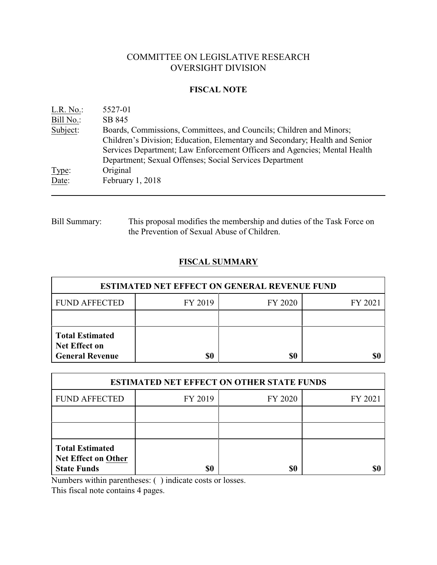# COMMITTEE ON LEGISLATIVE RESEARCH OVERSIGHT DIVISION

## **FISCAL NOTE**

| $L.R. No.$ :   | 5527-01                                                                                                                                                                                                                                                                                    |
|----------------|--------------------------------------------------------------------------------------------------------------------------------------------------------------------------------------------------------------------------------------------------------------------------------------------|
| Bill No.:      | SB 845                                                                                                                                                                                                                                                                                     |
| Subject:       | Boards, Commissions, Committees, and Councils; Children and Minors;<br>Children's Division; Education, Elementary and Secondary; Health and Senior<br>Services Department; Law Enforcement Officers and Agencies; Mental Health<br>Department; Sexual Offenses; Social Services Department |
| Type:<br>Date: | Original<br>February 1, 2018                                                                                                                                                                                                                                                               |

# Bill Summary: This proposal modifies the membership and duties of the Task Force on the Prevention of Sexual Abuse of Children.

# **FISCAL SUMMARY**

| <b>ESTIMATED NET EFFECT ON GENERAL REVENUE FUND</b>                      |         |         |         |  |
|--------------------------------------------------------------------------|---------|---------|---------|--|
| <b>FUND AFFECTED</b>                                                     | FY 2019 | FY 2020 | FY 2021 |  |
|                                                                          |         |         |         |  |
| <b>Total Estimated</b><br><b>Net Effect on</b><br><b>General Revenue</b> | \$0     | \$0     |         |  |

| <b>ESTIMATED NET EFFECT ON OTHER STATE FUNDS</b>                           |         |         |         |  |
|----------------------------------------------------------------------------|---------|---------|---------|--|
| <b>FUND AFFECTED</b>                                                       | FY 2019 | FY 2020 | FY 2021 |  |
|                                                                            |         |         |         |  |
|                                                                            |         |         |         |  |
| <b>Total Estimated</b><br><b>Net Effect on Other</b><br><b>State Funds</b> | \$0     | \$0     |         |  |

Numbers within parentheses: ( ) indicate costs or losses.

This fiscal note contains 4 pages.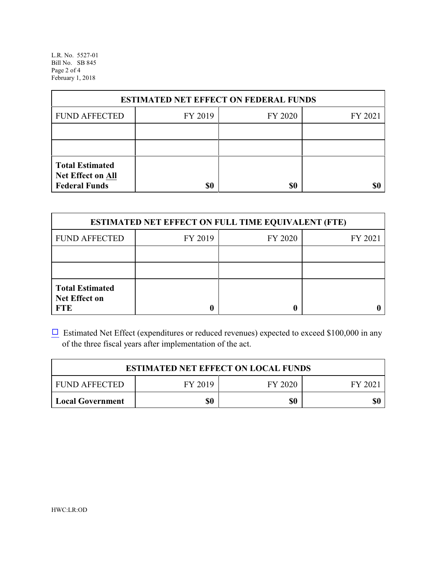L.R. No. 5527-01 Bill No. SB 845 Page 2 of 4 February 1, 2018

| <b>ESTIMATED NET EFFECT ON FEDERAL FUNDS</b>                        |         |         |         |  |  |
|---------------------------------------------------------------------|---------|---------|---------|--|--|
| <b>FUND AFFECTED</b>                                                | FY 2019 | FY 2020 | FY 2021 |  |  |
|                                                                     |         |         |         |  |  |
|                                                                     |         |         |         |  |  |
| <b>Total Estimated</b><br>Net Effect on All<br><b>Federal Funds</b> | \$0     | \$0     |         |  |  |

| <b>ESTIMATED NET EFFECT ON FULL TIME EQUIVALENT (FTE)</b>    |         |         |         |  |  |
|--------------------------------------------------------------|---------|---------|---------|--|--|
| <b>FUND AFFECTED</b>                                         | FY 2019 | FY 2020 | FY 2021 |  |  |
|                                                              |         |         |         |  |  |
|                                                              |         |         |         |  |  |
| <b>Total Estimated</b><br><b>Net Effect on</b><br><b>FTE</b> |         |         |         |  |  |

 $\Box$  Estimated Net Effect (expenditures or reduced revenues) expected to exceed \$100,000 in any of the three fiscal years after implementation of the act.

| <b>ESTIMATED NET EFFECT ON LOCAL FUNDS</b> |         |         |        |  |
|--------------------------------------------|---------|---------|--------|--|
| <b>FUND AFFECTED</b>                       | FY 2019 | FY 2020 | FY 202 |  |
| <b>Local Government</b>                    | \$0     | \$0     | \$0    |  |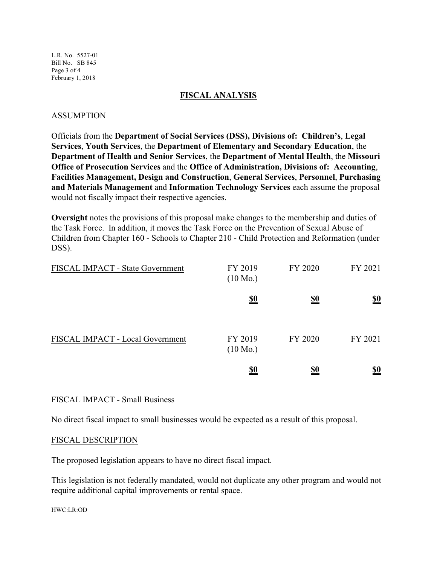L.R. No. 5527-01 Bill No. SB 845 Page 3 of 4 February 1, 2018

### **FISCAL ANALYSIS**

### ASSUMPTION

Officials from the **Department of Social Services (DSS), Divisions of: Children's**, **Legal Services**, **Youth Services**, the **Department of Elementary and Secondary Education**, the **Department of Health and Senior Services**, the **Department of Mental Health**, the **Missouri Office of Prosecution Services** and the **Office of Administration, Divisions of: Accounting**, **Facilities Management, Design and Construction**, **General Services**, **Personnel**, **Purchasing and Materials Management** and **Information Technology Services** each assume the proposal would not fiscally impact their respective agencies.

**Oversight** notes the provisions of this proposal make changes to the membership and duties of the Task Force. In addition, it moves the Task Force on the Prevention of Sexual Abuse of Children from Chapter 160 - Schools to Chapter 210 - Child Protection and Reformation (under DSS).

| FISCAL IMPACT - State Government | FY 2019<br>$(10 \text{ Mo.})$ | FY 2020    | FY 2021                       |
|----------------------------------|-------------------------------|------------|-------------------------------|
|                                  | <u>\$0</u>                    | <u>\$0</u> | $\underline{\underline{\$0}}$ |
| FISCAL IMPACT - Local Government | FY 2019<br>$(10 \text{ Mo.})$ | FY 2020    | FY 2021                       |
|                                  | <u>\$0</u>                    | <u>\$0</u> | <u>\$0</u>                    |

### FISCAL IMPACT - Small Business

No direct fiscal impact to small businesses would be expected as a result of this proposal.

### FISCAL DESCRIPTION

The proposed legislation appears to have no direct fiscal impact.

This legislation is not federally mandated, would not duplicate any other program and would not require additional capital improvements or rental space.

HWC:LR:OD